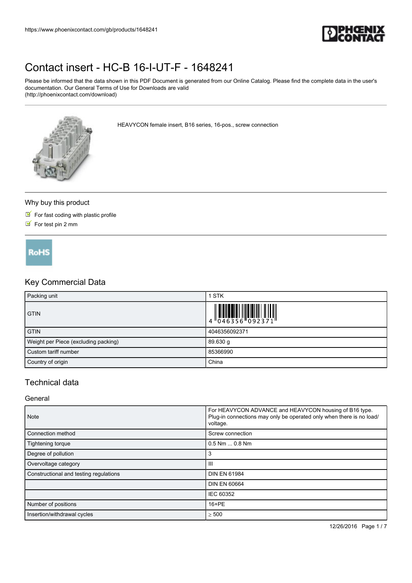

Please be informed that the data shown in this PDF Document is generated from our Online Catalog. Please find the complete data in the user's documentation. Our General Terms of Use for Downloads are valid (http://phoenixcontact.com/download)



HEAVYCON female insert, B16 series, 16-pos., screw connection

#### Why buy this product

- $\blacksquare$  For fast coding with plastic profile
- $\triangleright$  For test pin 2 mm

**RoHS** 

## Key Commercial Data

| Packing unit                         | 1 STK         |
|--------------------------------------|---------------|
| <b>GTIN</b>                          |               |
| <b>GTIN</b>                          | 4046356092371 |
| Weight per Piece (excluding packing) | 89.630 g      |
| Custom tariff number                 | 85366990      |
| Country of origin                    | China         |

### Technical data

#### General

| <b>Note</b>                            | For HEAVYCON ADVANCE and HEAVYCON housing of B16 type.<br>Plug-in connections may only be operated only when there is no load/<br>voltage. |
|----------------------------------------|--------------------------------------------------------------------------------------------------------------------------------------------|
| Connection method                      | Screw connection                                                                                                                           |
| Tightening torque                      | $0.5$ Nm $\dots$ 0.8 Nm                                                                                                                    |
| Degree of pollution                    | 3                                                                                                                                          |
| Overvoltage category                   | Ш                                                                                                                                          |
| Constructional and testing regulations | <b>DIN EN 61984</b>                                                                                                                        |
|                                        | <b>DIN EN 60664</b>                                                                                                                        |
|                                        | IEC 60352                                                                                                                                  |
| Number of positions                    | 16+PE                                                                                                                                      |
| Insertion/withdrawal cycles            | $\geq 500$                                                                                                                                 |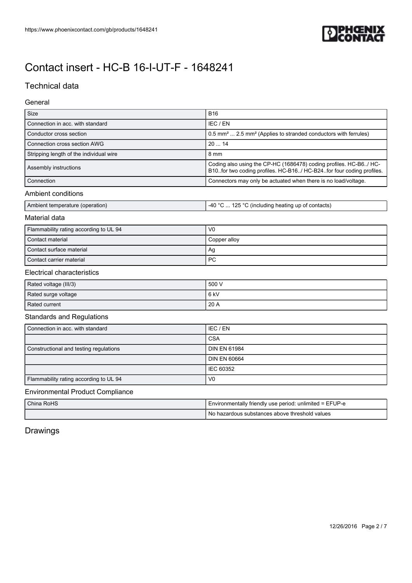

## Technical data

#### General

| Size                                    | <b>B16</b>                                                                                                                               |
|-----------------------------------------|------------------------------------------------------------------------------------------------------------------------------------------|
| Connection in acc. with standard        | IEC / EN                                                                                                                                 |
| Conductor cross section                 | 0.5 mm <sup>2</sup> 2.5 mm <sup>2</sup> (Applies to stranded conductors with ferrules)                                                   |
| Connection cross section AWG            | 2014                                                                                                                                     |
| Stripping length of the individual wire | 8 mm                                                                                                                                     |
| Assembly instructions                   | Coding also using the CP-HC (1686478) coding profiles. HC-B6/ HC-<br>B10for two coding profiles. HC-B16/ HC-B24for four coding profiles. |
| Connection                              | Connectors may only be actuated when there is no load/voltage.                                                                           |
| Ambient conditions                      |                                                                                                                                          |
| Ambient temperature (operation)         | -40 °C  125 °C (including heating up of contacts)                                                                                        |
| Material data                           |                                                                                                                                          |
| Flammability rating according to UL 94  | V <sub>0</sub>                                                                                                                           |
| Contact material                        | Copper alloy                                                                                                                             |
| Contact surface material                | Ag                                                                                                                                       |
| Contact carrier material                | <b>PC</b>                                                                                                                                |
| <b>Electrical characteristics</b>       |                                                                                                                                          |
| Rated voltage (III/3)                   | 500 V                                                                                                                                    |
| Rated surge voltage                     | 6 <sub>kV</sub>                                                                                                                          |
| Rated current                           | 20 A                                                                                                                                     |
| <b>Standards and Regulations</b>        |                                                                                                                                          |
| Connection in acc. with standard        | IEC / EN                                                                                                                                 |
|                                         | <b>CSA</b>                                                                                                                               |
| Constructional and testing regulations  | <b>DIN EN 61984</b>                                                                                                                      |
|                                         | <b>DIN EN 60664</b>                                                                                                                      |
|                                         | <b>IEC 60352</b>                                                                                                                         |
| Flammability rating according to UL 94  | V <sub>0</sub>                                                                                                                           |
| <b>Environmental Product Compliance</b> |                                                                                                                                          |

| China RoHS | I Environmentally friendly use period: unlimited = EFUP-e |
|------------|-----------------------------------------------------------|
|            | I No hazardous substances above threshold values          |

## Drawings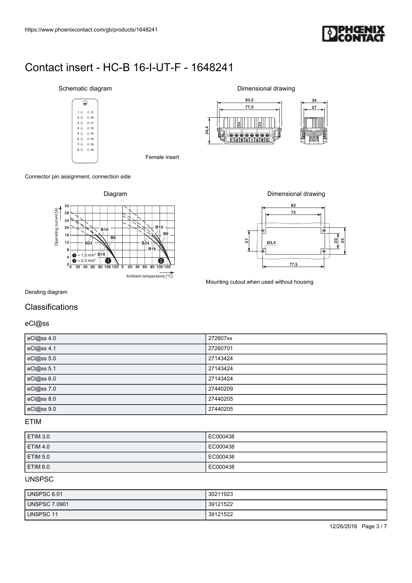

### Schematic diagram











#### Derating diagram

### **Classifications**

| https://www.phoenixcontact.com/gb/products/1648241                                                                                                                                                                                                                                                                                                                               |                                                                                              |  |
|----------------------------------------------------------------------------------------------------------------------------------------------------------------------------------------------------------------------------------------------------------------------------------------------------------------------------------------------------------------------------------|----------------------------------------------------------------------------------------------|--|
| Contact insert - HC-B 16-I-UT-F - 1648241                                                                                                                                                                                                                                                                                                                                        |                                                                                              |  |
| Schematic diagram                                                                                                                                                                                                                                                                                                                                                                | Dimensional drawing                                                                          |  |
| $\bigoplus$<br>1009<br>$\circ$ 10<br>20<br>$\circ$ 11<br>3 O<br>$\circ$ 12<br>4 O<br>$\circ$ 13<br>5 O                                                                                                                                                                                                                                                                           | 83,5<br>34<br>77,5<br>27<br>34,4<br>Œ                                                        |  |
| $\circ$ 14<br>6 O<br>7 0<br>$O$ 15<br>$\circ$ 16<br>8 0<br>Female insert                                                                                                                                                                                                                                                                                                         | 砜                                                                                            |  |
| Connector pin assignment, connection side                                                                                                                                                                                                                                                                                                                                        |                                                                                              |  |
| Diagram<br>32                                                                                                                                                                                                                                                                                                                                                                    | Dimensional drawing<br>82                                                                    |  |
| Operating current [A]<br>28<br>24<br><b>B10</b><br>${\bf 20}$<br><b>B10</b><br>B6<br>$16$<br>B6<br>B24<br>12<br><b>B24</b><br>B16<br>8<br>$= 1.5$ mm <sup>2</sup> $\frac{B16}{1}$<br>$\overline{4}$<br>➊<br>$= 2.5$ mm <sup>2</sup><br>$\bullet$<br>❷<br>V<br>$\mathbf{0}_{\mathbf{0}}^{\mathsf{L}}$<br>40 60 80 100 120 0 20 40 60 80 100 120<br>20<br>Ambient temperature [°C] | 72<br>∣⊕<br>$\frac{5}{20}$<br>$\overline{27}$<br>03,4<br>ı<br>$\overline{\bigoplus}$<br>77,5 |  |
| Derating diagram                                                                                                                                                                                                                                                                                                                                                                 | Mounting cutout when used without housing                                                    |  |
| Classifications                                                                                                                                                                                                                                                                                                                                                                  |                                                                                              |  |
| eCl@ss<br>eCl@ss 4.0                                                                                                                                                                                                                                                                                                                                                             | 272607xx                                                                                     |  |
| eCl@ss 4.1                                                                                                                                                                                                                                                                                                                                                                       | 27260701                                                                                     |  |
| eCl@ss 5.0<br>eCl@ss 5.1                                                                                                                                                                                                                                                                                                                                                         | 27143424<br>27143424                                                                         |  |
| eCl@ss 6.0                                                                                                                                                                                                                                                                                                                                                                       |                                                                                              |  |
|                                                                                                                                                                                                                                                                                                                                                                                  | 27143424                                                                                     |  |
| eCl@ss 7.0<br>eCl@ss 8.0                                                                                                                                                                                                                                                                                                                                                         | 27440209<br>27440205                                                                         |  |

#### ETIM

| <b>ETIM 3.0</b> | EC000438 |
|-----------------|----------|
| <b>ETIM 4.0</b> | EC000438 |
| <b>ETIM 5.0</b> | EC000438 |
| ETIM 6.0        | EC000438 |

### UNSPSC

| UNSPSC 6.01   | 30211923 |
|---------------|----------|
| UNSPSC 7.0901 | 39121522 |
| UNSPSC 11     | 39121522 |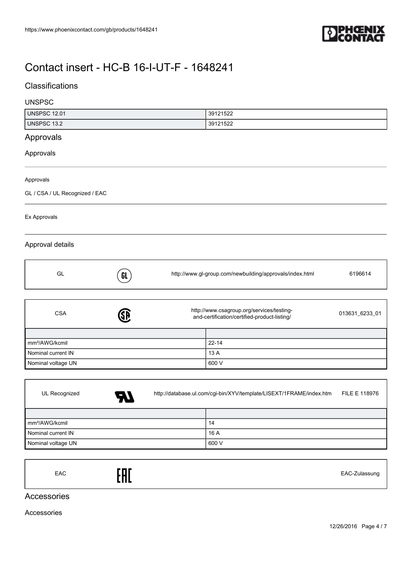

### **Classifications**

#### UNSPSC

|                                                                                                                          |  | 39121522  |                                                                                                                                 |
|--------------------------------------------------------------------------------------------------------------------------|--|-----------|---------------------------------------------------------------------------------------------------------------------------------|
|                                                                                                                          |  | 39121522  |                                                                                                                                 |
|                                                                                                                          |  |           |                                                                                                                                 |
|                                                                                                                          |  |           |                                                                                                                                 |
|                                                                                                                          |  |           |                                                                                                                                 |
|                                                                                                                          |  |           |                                                                                                                                 |
|                                                                                                                          |  |           |                                                                                                                                 |
|                                                                                                                          |  |           |                                                                                                                                 |
| GL                                                                                                                       |  |           | 6196614                                                                                                                         |
|                                                                                                                          |  |           |                                                                                                                                 |
| http://www.csagroup.org/services/testing-<br>013631_6233_01<br><b>SD</b><br>and-certification/certified-product-listing/ |  |           |                                                                                                                                 |
|                                                                                                                          |  |           |                                                                                                                                 |
|                                                                                                                          |  | $22 - 14$ |                                                                                                                                 |
|                                                                                                                          |  | 13 A      |                                                                                                                                 |
|                                                                                                                          |  | 600 V     |                                                                                                                                 |
|                                                                                                                          |  |           |                                                                                                                                 |
|                                                                                                                          |  |           | FILE E 118976                                                                                                                   |
|                                                                                                                          |  |           | http://www.gl-group.com/newbuilding/approvals/index.html<br>http://database.ul.com/cgi-bin/XYV/template/LISEXT/1FRAME/index.htm |

| mm <sup>2</sup> /AWG/kcmil | 14    |
|----------------------------|-------|
| Nominal current IN         | 16 A  |
| Nominal voltage UN         | 600 V |

EAC EAC-Zulassung

### Accessories

Accessories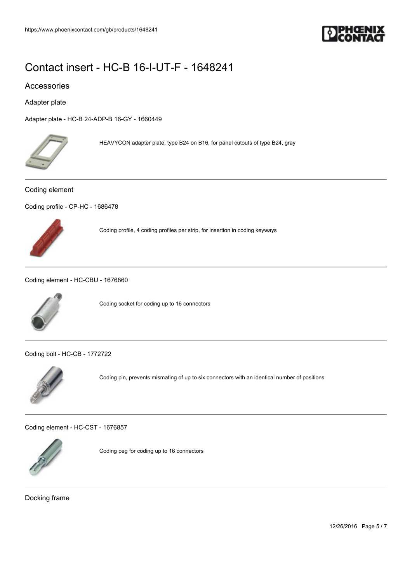

#### Accessories

Adapter plate

[Adapter plate - HC-B 24-ADP-B 16-GY - 1660449](https://www.phoenixcontact.com/gb/products/1660449)



HEAVYCON adapter plate, type B24 on B16, for panel cutouts of type B24, gray

#### Coding element

[Coding profile - CP-HC - 1686478](https://www.phoenixcontact.com/gb/products/1686478)



Coding profile, 4 coding profiles per strip, for insertion in coding keyways

[Coding element - HC-CBU - 1676860](https://www.phoenixcontact.com/gb/products/1676860)



Coding socket for coding up to 16 connectors

[Coding bolt - HC-CB - 1772722](https://www.phoenixcontact.com/gb/products/1772722)



Coding pin, prevents mismating of up to six connectors with an identical number of positions

[Coding element - HC-CST - 1676857](https://www.phoenixcontact.com/gb/products/1676857)



Coding peg for coding up to 16 connectors

Docking frame

12/26/2016 Page 5 / 7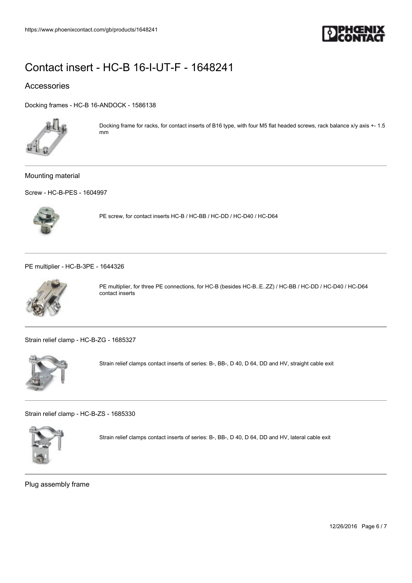

### Accessories

[Docking frames - HC-B 16-ANDOCK - 1586138](https://www.phoenixcontact.com/gb/products/1586138)



Docking frame for racks, for contact inserts of B16 type, with four M5 flat headed screws, rack balance x/y axis +- 1.5 mm

Mounting material

[Screw - HC-B-PES - 1604997](https://www.phoenixcontact.com/gb/products/1604997)



PE screw, for contact inserts HC-B / HC-BB / HC-DD / HC-D40 / HC-D64

[PE multiplier - HC-B-3PE - 1644326](https://www.phoenixcontact.com/gb/products/1644326)



PE multiplier, for three PE connections, for HC-B (besides HC-B..E..ZZ) / HC-BB / HC-DD / HC-D40 / HC-D64 contact inserts

[Strain relief clamp - HC-B-ZG - 1685327](https://www.phoenixcontact.com/gb/products/1685327)



Strain relief clamps contact inserts of series: B-, BB-, D 40, D 64, DD and HV, straight cable exit

[Strain relief clamp - HC-B-ZS - 1685330](https://www.phoenixcontact.com/gb/products/1685330)



Strain relief clamps contact inserts of series: B-, BB-, D 40, D 64, DD and HV, lateral cable exit

Plug assembly frame